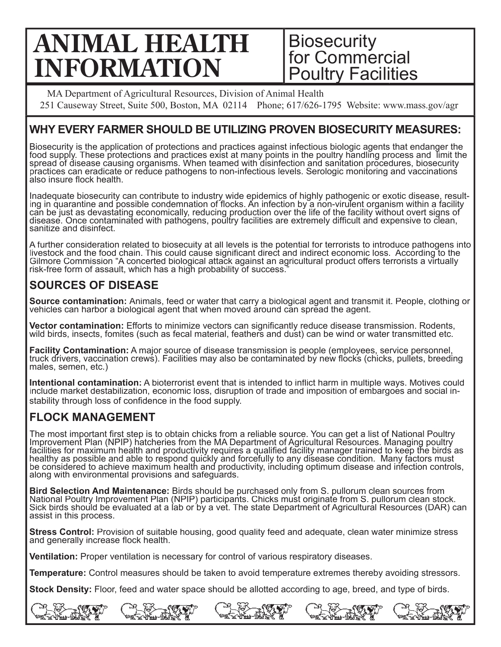# **ANIMAL HEALTH INFORMATION**

## **Biosecurity** for Commercial Poultry Facilities

MA Department of Agricultural Resources, Division of Animal Health 251 Causeway Street, Suite 500, Boston, MA 02114 Phone; 617/626-1795 Website: www.mass.gov/agr

## **WHY EVERY FARMER SHOULD BE UTILIZING PROVEN BIOSECURITY MEASURES:**

Biosecurity is the application of protections and practices against infectious biologic agents that endanger the<br>food supply. These protections and practices exist at many points in the poultry handling process and limit spread of disease causing organisms. When teamed with disinfection and sanitation procedures, biosecurity practices can eradicate or reduce pathogens to non-infectious levels. Serologic monitoring and vaccinations also insure flock health.

Inadequate biosecurity can contribute to industry wide epidemics of highly pathogenic or exotic disease, resulting in quarantine and possible condemnation of flocks. An infection by a non-virulent organism within a facility<br>can be just as devastating economically, reducing production over the life of the facility without overt sign disease. Once contaminated with pathogens, poultry facilities are extremely difficult and expensive to clean,<br>sanitize and disinfect.

A further consideration related to biosecuity at all levels is the potential for terrorists to introduce pathogens into livestock and the food chain. This could cause significant direct and indirect economic loss. According to the<br>Gilmore Commission "A concerted biological attack against an agricultural product offers terrorists a virtuall livestock and the food chain. This could cause significant direct and indirect economic loss. According to the risk-free form of assault, which has a high probability of success."

## **SOURCES OF DISEASE**

**Source contamination:** Animals, feed or water that carry a biological agent and transmit it. People, clothing or<br>vehicles can harbor a biological agent that when moved around can spread the agent.

**Vector contamination:** Efforts to minimize vectors can significantly reduce disease transmission. Rodents, wild birds, insects, fomites (such as fecal material, feathers and dust) can be wind or water transmitted etc.

**Facility Contamination:** A major source of disease transmission is people (employees, service personnel, truck drivers, vaccination crews). Facilities may also be contaminated by new flocks (chicks, pullets, breeding males, semen, etc.)

**Intentional contamination:** A bioterrorist event that is intended to inflict harm in multiple ways. Motives could include market destabilization, economic loss, disruption of trade and imposition of embargoes and social i stability through loss of confidence in the food supply.

## **FLOCK MANAGEMENT**

The most important first step is to obtain chicks from a reliable source. You can get a list of National Poultry Improvement Plan (NPIP) hatcheries from the MA Department of Agricultural Resources. Managing poultry<br>facilities for maximum health and productivity requires a qualified facility manager trained to keep the birds as<br>health be considered to achieve maximum health and productivity, including optimum disease and infection controls,<br>along with environmental provisions and safeguards.

Bird Selection And Maintenance: Birds should be purchased only from S. pullorum clean sources from<br>National Poultry Improvement Plan (NPIP) participants. Chicks must originate from S. pullorum clean stock.<br>Sick birds shoul Sick birds should be evaluated at a lab or by a vet. The state Department of Agricultural Resources (DAR) can

**Stress Control:** Provision of suitable housing, good quality feed and adequate, clean water minimize stress and generally increase flock health.

**Ventilation:** Proper ventilation is necessary for control of various respiratory diseases.

**Temperature:** Control measures should be taken to avoid temperature extremes thereby avoiding stressors.

**Stock Density:** Floor, feed and water space should be allotted according to age, breed, and type of birds.

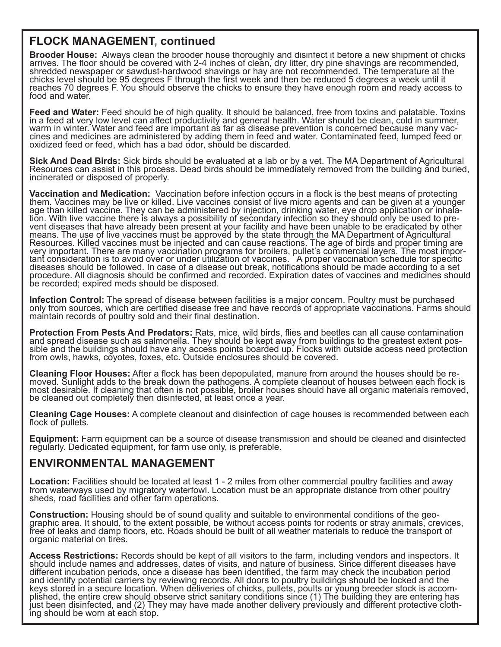### **FLOCK MANAGEMENT, continued**

**Brooder House:** Always clean the brooder house thoroughly and disinfect it before a new shipment of chicks arrives. The floor should be covered with 2-4 inches of clean, dry litter, dry pine shavings are recommended, shredded newspaper or sawdust-hardwood shavings or hay are not recommended. The temperature at the chicks level should be 95 degrees F through the first week and then be reduced 5 degrees a week until it<br>reaches 70 degrees F. You should observe the chicks to ensure they have enough room and ready access to food and water.

**Feed and Water:** Feed should be of high quality. It should be balanced, free from toxins and palatable. Toxins<br>in a feed at very low level can affect productivity and general health. Water should be clean, cold in summer, warm in winter. Water and feed are important as far as disease prevention is concerned because many vaccines and medicines are administered by adding them in feed and water. Contaminated feed, lumped feed or oxidized feed

**Sick And Dead Birds:** Sick birds should be evaluated at a lab or by a vet. The MA Department of Agricultural Resources can assist in this process. Dead birds should be immediately removed from the building and buried, incinerated or disposed of properly.

**Vaccination and Medication:** Vaccination before infection occurs in a flock is the best means of protecting<br>them. Vaccines may be live or killed. Live vaccines consist of live micro agents and can be given at a younger<br>a them. Vaccines may be live or killed. Live vaccines consist of live micro agents and can be given at a younger age than killed vaccine. They can be administered by injection, drinking water, eye drop application or inhala-<br>tion. With live vaccine there is always a possibility of secondary infection so they should only be used to pr vent diseases that have already been present at your facility and have been unable to be eradicated by other means. The use of live vaccines must be approved by the state through the MA Department of Agricultural<br>Resources. Killed vaccines must be injected and can cause reactions. The age of birds and proper timing are very important. There are many vaccination programs for broilers, pullet's commercial layers. The most impor- important consideration is to avoid over or under utilization of vaccines. A proper vaccination schedule for specific diseases should be followed. In case of a disease out break, notifications should be made according to a set procedure. All diagnosis should be confirmed and recorded. Expiration dates of vaccines and medicines should<br>be recorded; expired meds should be disposed.

Infection Control: The spread of disease between facilities is a major concern. Poultry must be purchased only from sources, which are certified disease free and have records of appropriate vaccinations. Farms should maintain records of poultry sold and their final destination.

**Protection From Pests And Predators:** Rats, mice, wild birds, flies and beetles can all cause contamination and spread disease such as salmonella. They should be kept away from buildings to the greatest extent possible and the buildings should have any access points boarded up. Flocks with outside access need protection from owls, hawks, coyotes, foxes, etc. Outside enclosures should be covered.

Cleaning Floor Houses: After a flock has been depopulated, manure from around the houses should be remost desirable. If cleaning that often is not possible, broiler houses should have all organic materials removed, moved. Sunlight adds to the break down the pathogens. A complete cleanout of houses between each flock is be cleaned out completely then disinfected, at least once a year.

**Cleaning Cage Houses:** A complete cleanout and disinfection of cage houses is recommended between each flock of pullets.

**Equipment:** Farm equipment can be a source of disease transmission and should be cleaned and disinfected regularly. Dedicated equipment, for farm use only, is preferable.

#### **ENVIRONMENTAL MANAGEMENT**

**Location:** Facilities should be located at least 1 - 2 miles from other commercial poultry facilities and away from waterways used by migratory waterfowl. Location must be an appropriate distance from other poultry sheds, road facilities and other farm operations.

**Construction:** Housing should be of sound quality and suitable to environmental conditions of the geo-<br>graphic area. It should, to the extent possible, be without access points for rodents or stray animals, crevices, free of leaks and damp floors, etc. Roads should be built of all weather materials to reduce the transport of<br>organic material on tires.

**Access Restrictions:** Records should be kept of all visitors to the farm, including vendors and inspectors. It should include names and addresses, dates of visits, and nature of business. Since different diseases have different incubation periods, once a disease has been identified, the farm may check the incubation period keys stored in a secure location. When deliveries of chicks, pullets, poults or young breeder stock is accom-<br>plished, the entire crew should observe strict sanitary conditions since (1) The building they are entering has and identify potential carriers by reviewing records. All doors to poultry buildings should be locked and the just been disinfected, and (2) They may have made another delivery previously and different protective cloth-<br>ing should be worn at each stop.